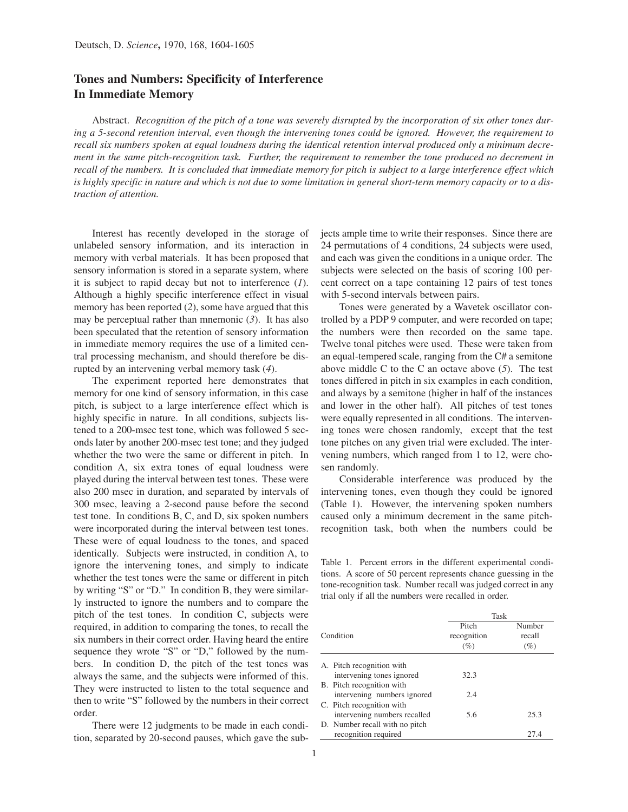## **Tones and Numbers: Specificity of Interference In Immediate Memory**

Abstract. *Recognition of the pitch of a tone was severely disrupted by the incorporation of six other tones during a 5-second retention interval, even though the intervening tones could be ignored. However, the requirement to recall six numbers spoken at equal loudness during the identical retention interval produced only a minimum decrement in the same pitch-recognition task. Further, the requirement to remember the tone produced no decrement in recall of the numbers. It is concluded that immediate memory for pitch is subject to a large interference effect which is highly specific in nature and which is not due to some limitation in general short-term memory capacity or to a distraction of attention.*

Interest has recently developed in the storage of unlabeled sensory information, and its interaction in memory with verbal materials. It has been proposed that sensory information is stored in a separate system, where it is subject to rapid decay but not to interference (*1*). Although a highly specific interference effect in visual memory has been reported (*2*), some have argued that this may be perceptual rather than mnemonic (*3*). It has also been speculated that the retention of sensory information in immediate memory requires the use of a limited central processing mechanism, and should therefore be disrupted by an intervening verbal memory task (*4*).

The experiment reported here demonstrates that memory for one kind of sensory information, in this case pitch, is subject to a large interference effect which is highly specific in nature. In all conditions, subjects listened to a 200-msec test tone, which was followed 5 seconds later by another 200-msec test tone; and they judged whether the two were the same or different in pitch. In condition A, six extra tones of equal loudness were played during the interval between test tones. These were also 200 msec in duration, and separated by intervals of 300 msec, leaving a 2-second pause before the second test tone. In conditions B, C, and D, six spoken numbers were incorporated during the interval between test tones. These were of equal loudness to the tones, and spaced identically. Subjects were instructed, in condition A, to ignore the intervening tones, and simply to indicate whether the test tones were the same or different in pitch by writing "S" or "D." In condition B, they were similarly instructed to ignore the numbers and to compare the pitch of the test tones. In condition C, subjects were required, in addition to comparing the tones, to recall the six numbers in their correct order. Having heard the entire sequence they wrote "S" or "D," followed by the numbers. In condition D, the pitch of the test tones was always the same, and the subjects were informed of this. They were instructed to listen to the total sequence and then to write "S" followed by the numbers in their correct order.

There were 12 judgments to be made in each condition, separated by 20-second pauses, which gave the subjects ample time to write their responses. Since there are 24 permutations of 4 conditions, 24 subjects were used, and each was given the conditions in a unique order. The subjects were selected on the basis of scoring 100 percent correct on a tape containing 12 pairs of test tones with 5-second intervals between pairs.

Tones were generated by a Wavetek oscillator controlled by a PDP 9 computer, and were recorded on tape; the numbers were then recorded on the same tape. Twelve tonal pitches were used. These were taken from an equal-tempered scale, ranging from the C# a semitone above middle C to the C an octave above (*5*). The test tones differed in pitch in six examples in each condition, and always by a semitone (higher in half of the instances and lower in the other half). All pitches of test tones were equally represented in all conditions. The intervening tones were chosen randomly, except that the test tone pitches on any given trial were excluded. The intervening numbers, which ranged from 1 to 12, were chosen randomly.

Considerable interference was produced by the intervening tones, even though they could be ignored (Table 1). However, the intervening spoken numbers caused only a minimum decrement in the same pitchrecognition task, both when the numbers could be

Table 1. Percent errors in the different experimental conditions. A score of 50 percent represents chance guessing in the tone-recognition task. Number recall was judged correct in any trial only if all the numbers were recalled in order.

|           |                                | Task                        |                         |
|-----------|--------------------------------|-----------------------------|-------------------------|
| Condition |                                | Pitch<br>recognition<br>(%) | Number<br>recall<br>(%) |
|           | A. Pitch recognition with      |                             |                         |
|           | intervening tones ignored      | 32.3                        |                         |
|           | B. Pitch recognition with      |                             |                         |
|           | intervening numbers ignored    | 2.4                         |                         |
|           | C. Pitch recognition with      |                             |                         |
|           | intervening numbers recalled   | 5.6                         | 25.3                    |
|           | D. Number recall with no pitch |                             |                         |
|           | recognition required           |                             | 27.4                    |